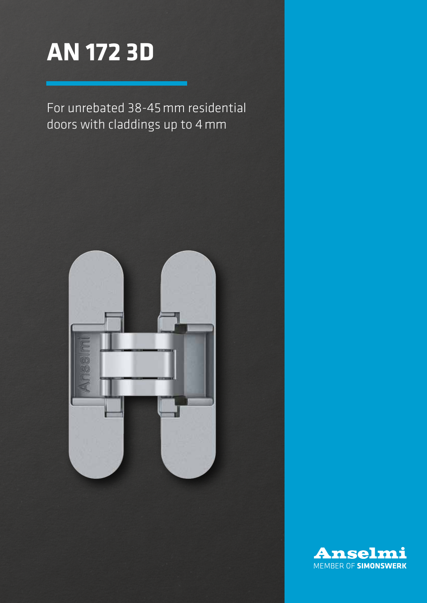

For unrebated 38-45mm residential doors with claddings up to 4mm